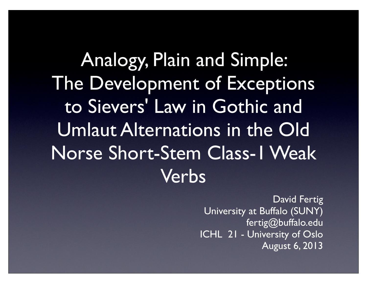Analogy, Plain and Simple: The Development of Exceptions to Sievers' Law in Gothic and Umlaut Alternations in the Old Norse Short-Stem Class-1 Weak Verbs

> David Fertig University at Buffalo (SUNY) fertig@buffalo.edu ICHL 21 - University of Oslo August 6, 2013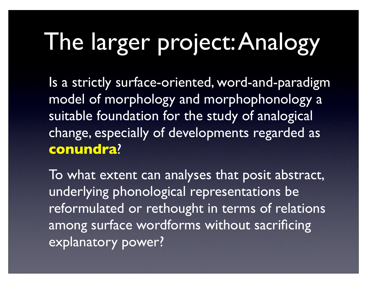#### The larger project: Analogy

Is a strictly surface-oriented, word-and-paradigm model of morphology and morphophonology a suitable foundation for the study of analogical change, especially of developments regarded as **conundra**?

To what extent can analyses that posit abstract, underlying phonological representations be reformulated or rethought in terms of relations among surface wordforms without sacrificing explanatory power?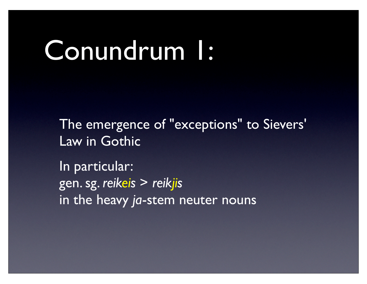#### Conundrum 1:

The emergence of "exceptions" to Sievers' Law in Gothic

In particular: gen. sg. *reikeis* > *reikjis* in the heavy *ja*-stem neuter nouns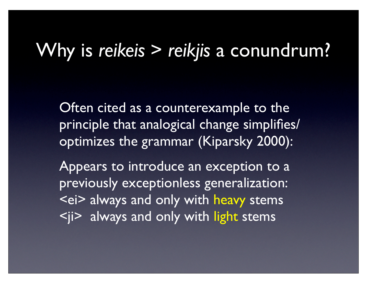#### Why is *reikeis* > *reikjis* a conundrum?

Often cited as a counterexample to the principle that analogical change simplifies/ optimizes the grammar (Kiparsky 2000):

Appears to introduce an exception to a previously exceptionless generalization: <ei> always and only with heavy stems  $\langle i \rangle$  always and only with light stems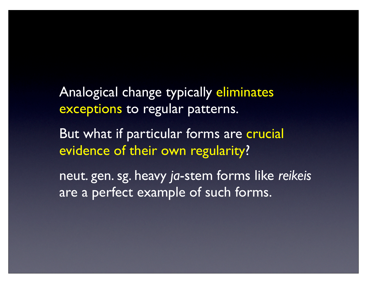Analogical change typically eliminates exceptions to regular patterns.

But what if particular forms are crucial evidence of their own regularity?

neut. gen. sg. heavy *ja*-stem forms like *reikeis* are a perfect example of such forms.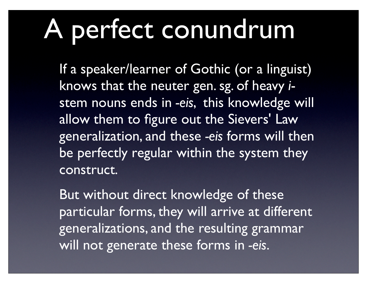## A perfect conundrum

If a speaker/learner of Gothic (or a linguist) knows that the neuter gen. sg. of heavy *i*stem nouns ends in *-eis*, this knowledge will allow them to figure out the Sievers' Law generalization, and these *-eis* forms will then be perfectly regular within the system they construct.

But without direct knowledge of these particular forms, they will arrive at different generalizations, and the resulting grammar will not generate these forms in *-eis*.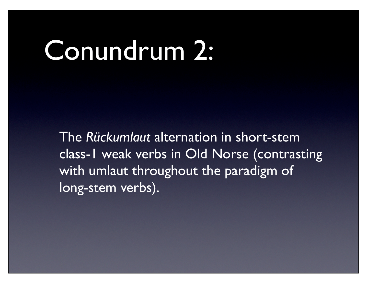#### Conundrum 2:

The *Rückumlaut* alternation in short-stem class-1 weak verbs in Old Norse (contrasting with umlaut throughout the paradigm of long-stem verbs).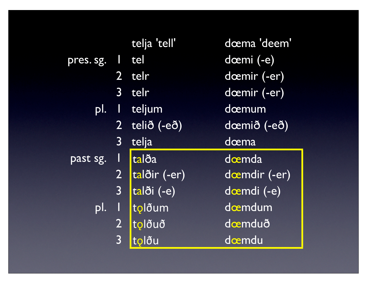|                         |                         | telja 'tell' | dœma 'deem'   |  |
|-------------------------|-------------------------|--------------|---------------|--|
| pres. sg.               |                         | tel          | dœmi (-e)     |  |
|                         |                         | 2 telr       | dœmir (-er)   |  |
|                         | 3 <sup>1</sup>          | telr         | dœmir (-er)   |  |
| pl.                     | I                       | teljum       | dœmum         |  |
|                         | $2^{\circ}$             | telið (-eð)  | dœmið (-eð)   |  |
| $\overline{\mathbf{3}}$ |                         | telja        | dœma          |  |
| past sg.                | $\mathsf{l}$            | talða        | doemda        |  |
|                         | $\overline{2}$          | talðir (-er) | doemdir (-er) |  |
|                         | $\overline{\mathbf{3}}$ | talði (-e)   | dœmdi (-e)    |  |
| pl.                     |                         | tolðum       | doemdum       |  |
|                         | $\overline{2}$          | tolðuð       | dæmduð        |  |
|                         | $\overline{3}$          | tolðu        | dœmdu         |  |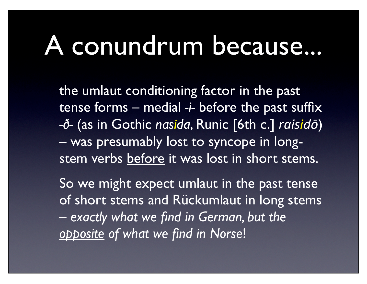### A conundrum because...

the umlaut conditioning factor in the past tense forms – medial *-i-* before the past suffix *-ð-* (as in Gothic *nasida*, Runic [6th c.] *raisidō*) – was presumably lost to syncope in longstem verbs before it was lost in short stems.

So we might expect umlaut in the past tense of short stems and Rückumlaut in long stems – *exactly what we find in German, but the opposite of what we find in Norse*!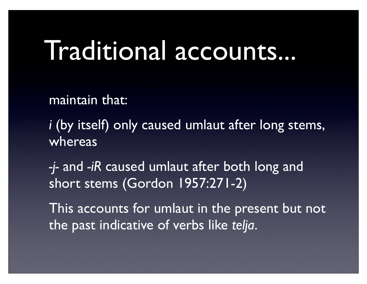#### Traditional accounts...

maintain that:

*i* (by itself) only caused umlaut after long stems, whereas

*-j-* and *-iR* caused umlaut after both long and short stems (Gordon 1957:271-2)

This accounts for umlaut in the present but not the past indicative of verbs like *telja*.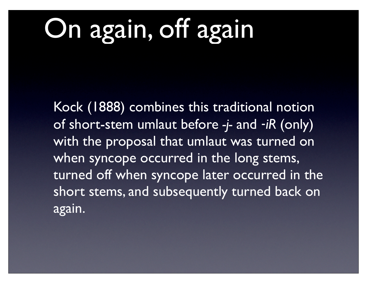## On again, off again

Kock (1888) combines this traditional notion of short-stem umlaut before *-j-* and ‑*iR* (only) with the proposal that umlaut was turned on when syncope occurred in the long stems, turned off when syncope later occurred in the short stems, and subsequently turned back on again.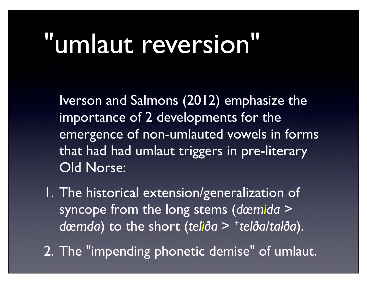### "umlaut reversion"

Iverson and Salmons (2012) emphasize the importance of 2 developments for the emergence of non-umlauted vowels in forms that had had umlaut triggers in pre-literary Old Norse:

1. The historical extension/generalization of syncope from the long stems (*dœmida* > *dœmda*) to the short (*teliða* > +*telða*/*talða*).

2. The "impending phonetic demise" of umlaut.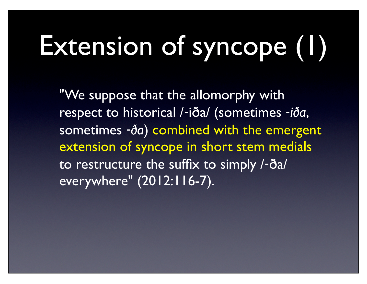# Extension of syncope (1)

"We suppose that the allomorphy with respect to historical /‑iða/ (sometimes ‑*iða*, sometimes ‑*ða*) combined with the emergent extension of syncope in short stem medials to restructure the suffix to simply /‑ða/ everywhere" (2012:116-7).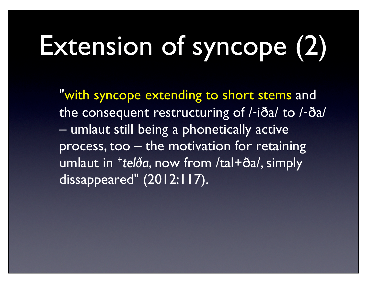## Extension of syncope (2)

"with syncope extending to short stems and the consequent restructuring of /‑iða/ to /‑ða/ – umlaut still being a phonetically active process, too – the motivation for retaining umlaut in +*telða*, now from /tal+ða/, simply dissappeared" (2012:117).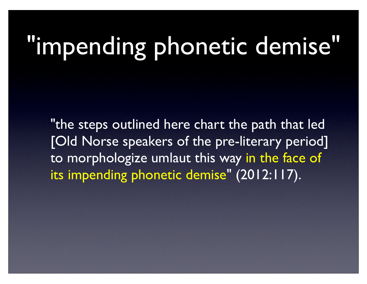## "impending phonetic demise"

"the steps outlined here chart the path that led [Old Norse speakers of the pre-literary period] to morphologize umlaut this way in the face of its impending phonetic demise" (2012:117).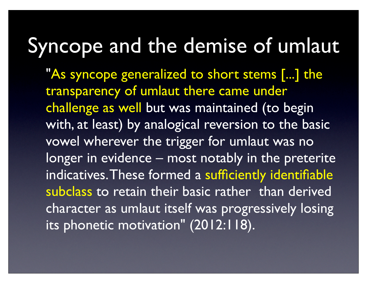#### Syncope and the demise of umlaut

"As syncope generalized to short stems [...] the transparency of umlaut there came under challenge as well but was maintained (to begin with, at least) by analogical reversion to the basic vowel wherever the trigger for umlaut was no longer in evidence – most notably in the preterite indicatives. These formed a sufficiently identifiable subclass to retain their basic rather than derived character as umlaut itself was progressively losing its phonetic motivation" (2012:118).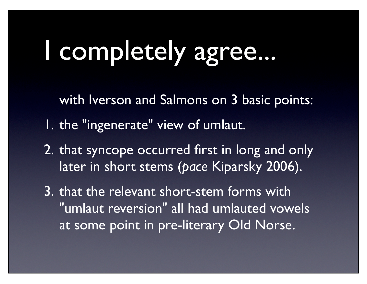### I completely agree...

with Iverson and Salmons on 3 basic points:

- 1. the "ingenerate" view of umlaut.
- 2. that syncope occurred first in long and only later in short stems (*pace* Kiparsky 2006).

3. that the relevant short-stem forms with "umlaut reversion" all had umlauted vowels at some point in pre-literary Old Norse.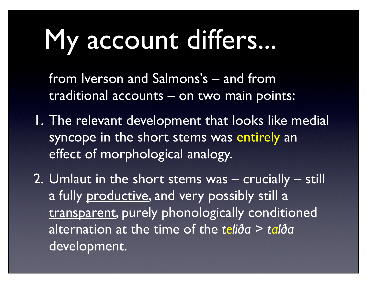## My account differs...

from Iverson and Salmons's – and from traditional accounts – on two main points:

- 1. The relevant development that looks like medial syncope in the short stems was entirely an effect of morphological analogy.
- 2. Umlaut in the short stems was crucially still a fully productive, and very possibly still a transparent, purely phonologically conditioned alternation at the time of the *teliða* > *talða* development.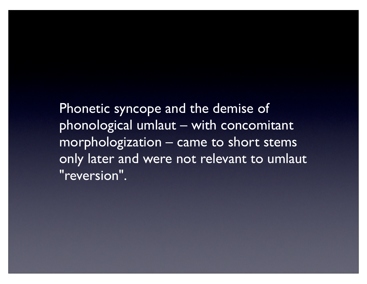Phonetic syncope and the demise of phonological umlaut – with concomitant morphologization – came to short stems only later and were not relevant to umlaut "reversion".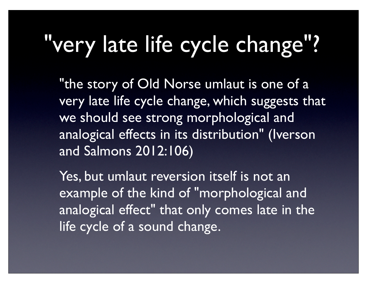#### very late life cycle change"?

"the story of Old Norse umlaut is one of a very late life cycle change, which suggests that we should see strong morphological and analogical effects in its distribution" (Iverson and Salmons 2012:106)

Yes, but umlaut reversion itself is not an example of the kind of "morphological and analogical effect" that only comes late in the life cycle of a sound change.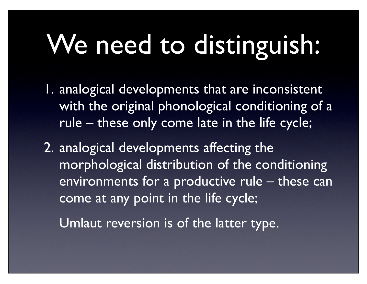## We need to distinguish:

- 1. analogical developments that are inconsistent with the original phonological conditioning of a rule – these only come late in the life cycle;
- 2. analogical developments affecting the morphological distribution of the conditioning environments for a productive rule – these can come at any point in the life cycle;
	- Umlaut reversion is of the latter type.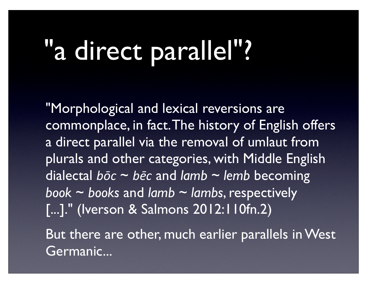## "a direct parallel"?

"Morphological and lexical reversions are commonplace, in fact. The history of English offers a direct parallel via the removal of umlaut from plurals and other categories, with Middle English dialectal *bōc* ~ *bēc* and *lamb* ~ *lemb* becoming *book* ~ *books* and *lamb* ~ *lambs*, respectively [...]." (Iverson & Salmons 2012:110fn.2)

But there are other, much earlier parallels in West Germanic...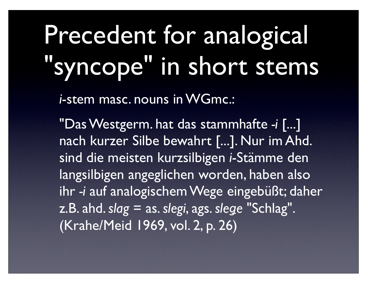## Precedent for analogical syncope" in short stems

*i*-stem masc. nouns in WGmc.:

"Das Westgerm. hat das stammhafte *-i* [...] nach kurzer Silbe bewahrt [...]. Nur im Ahd. sind die meisten kurzsilbigen *i*-Stämme den langsilbigen angeglichen worden, haben also ihr *-i* auf analogischem Wege eingebüßt; daher z.B. ahd. *slag* = as. *slegi*, ags. *sleǥe* "Schlag". (Krahe/Meid 1969, vol. 2, p. 26)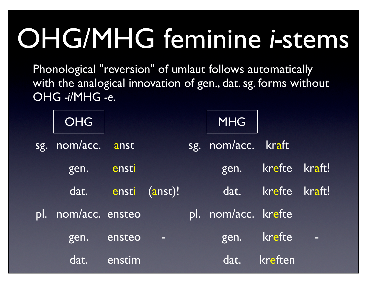## OHG/MHG feminine *i-*stems

Phonological "reversion" of umlaut follows automatically with the analogical innovation of gen., dat. sg. forms without OHG *-i*/MHG *-e*.

|     | <b>OHG</b>      |        |          |     | <b>MHG</b>          |               |                |
|-----|-----------------|--------|----------|-----|---------------------|---------------|----------------|
| sg. | nom/acc.        | anst   |          | sg. | nom/acc.            | kraft         |                |
|     | gen.            | ensti  |          |     | gen.                | <b>krefte</b> | kraft!         |
|     | dat.            | ensti  | (anst)!  |     | dat.                | krefte        | kraft!         |
| DI. | nom/acc. ensteo |        |          |     | pl. nom/acc. krefte |               |                |
|     | gen.            | ensteo | $\equiv$ |     | gen.                | krefte        | $\blacksquare$ |
|     | dat.            | enstim |          |     | dat.                | kreften       |                |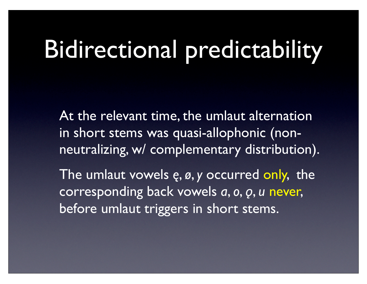#### Bidirectional predictability

At the relevant time, the umlaut alternation in short stems was quasi-allophonic (nonneutralizing, w/ complementary distribution).

The umlaut vowels *ę*, *ø*, *y* occurred only, the corresponding back vowels *a*, *o*, *ǫ*, *u* never, before umlaut triggers in short stems.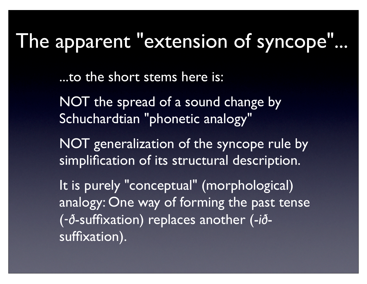#### The apparent "extension of syncope"...

...to the short stems here is:

NOT the spread of a sound change by Schuchardtian "phonetic analogy"

NOT generalization of the syncope rule by simplification of its structural description.

It is purely "conceptual" (morphological) analogy: One way of forming the past tense (‑*ð*-suffixation) replaces another (-*ið*suffixation).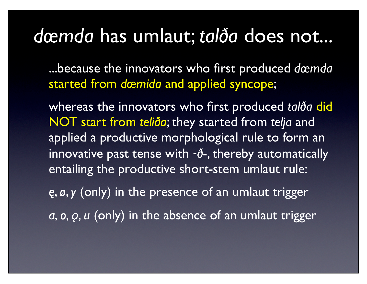#### *dœmda* has umlaut; *talða* does not...

...because the innovators who first produced *dœmda* started from *dœmida* and applied syncope;

whereas the innovators who first produced *talða* did NOT start from *teliða*; they started from *telja* and applied a productive morphological rule to form an innovative past tense with ‑*ð*-, thereby automatically entailing the productive short-stem umlaut rule:

*ę*, *ø*, *y* (only) in the presence of an umlaut trigger *a*, *o*, *ǫ*, *u* (only) in the absence of an umlaut trigger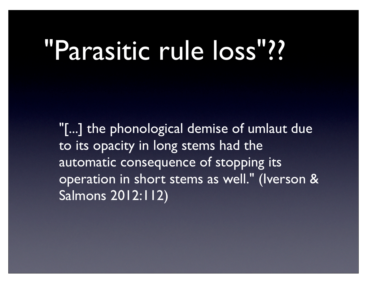#### "Parasitic rule loss"??

"[...] the phonological demise of umlaut due to its opacity in long stems had the automatic consequence of stopping its operation in short stems as well." (Iverson & Salmons 2012:112)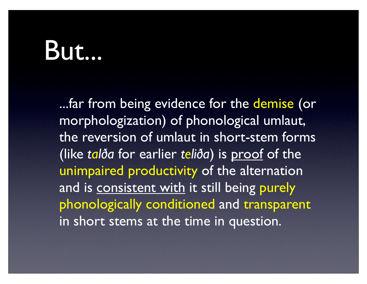#### But...

...far from being evidence for the demise (or morphologization) of phonological umlaut, the reversion of umlaut in short-stem forms (like *talða* for earlier *teliða*) is proof of the unimpaired productivity of the alternation and is consistent with it still being purely phonologically conditioned and transparent in short stems at the time in question.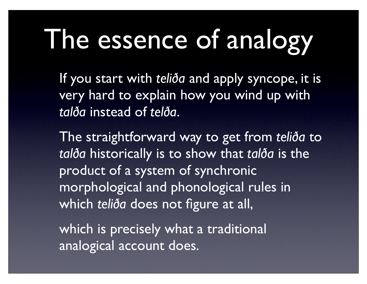## The essence of analogy

If you start with *teliða* and apply syncope, it is very hard to explain how you wind up with *talða* instead of *telða*.

The straightforward way to get from *teliða* to *talða* historically is to show that *talða* is the product of a system of synchronic morphological and phonological rules in which *teliða* does not figure at all,

which is precisely what a traditional analogical account does.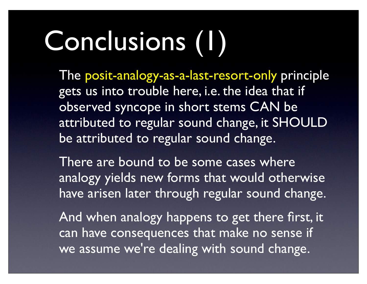## Conclusions (1)

The posit-analogy-as-a-last-resort-only principle gets us into trouble here, i.e. the idea that if observed syncope in short stems CAN be attributed to regular sound change, it SHOULD be attributed to regular sound change.

There are bound to be some cases where analogy yields new forms that would otherwise have arisen later through regular sound change.

And when analogy happens to get there first, it can have consequences that make no sense if we assume we're dealing with sound change.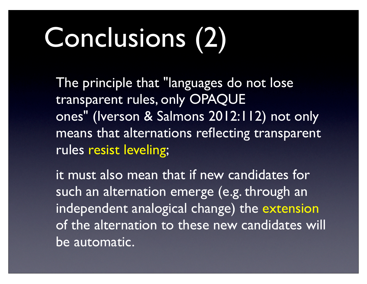## Conclusions (2)

The principle that "languages do not lose transparent rules, only OPAQUE ones" (Iverson & Salmons 2012:112) not only means that alternations reflecting transparent rules resist leveling;

it must also mean that if new candidates for such an alternation emerge (e.g. through an independent analogical change) the extension of the alternation to these new candidates will be automatic.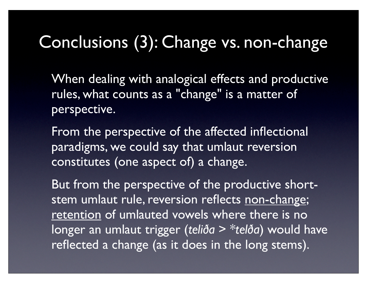#### Conclusions (3): Change vs. non-change

When dealing with analogical effects and productive rules, what counts as a "change" is a matter of perspective.

From the perspective of the affected inflectional paradigms, we could say that umlaut reversion constitutes (one aspect of) a change.

But from the perspective of the productive shortstem umlaut rule, reversion reflects non-change; retention of umlauted vowels where there is no longer an umlaut trigger (*teliða* > \**telða*) would have reflected a change (as it does in the long stems).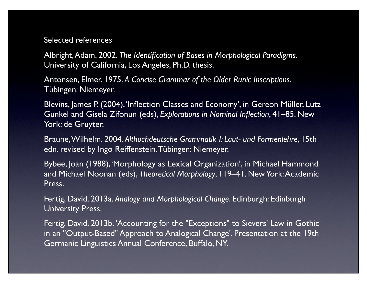#### Selected references

Albright, Adam. 2002. *The Identification of Bases in Morphological Paradigms*. University of California, Los Angeles, Ph.D. thesis.

Antonsen, Elmer. 1975. *A Concise Grammar of the Older Runic Inscriptions*. Tübingen: Niemeyer.

Blevins, James P. (2004), 'Inflection Classes and Economy', in Gereon Müller, Lutz Gunkel and Gisela Zifonun (eds), *Explorations in Nominal Inflection*, 41–85. New York: de Gruyter.

Braune, Wilhelm. 2004. *Althochdeutsche Grammatik I: Laut- und Formenlehre*, 15th edn. revised by Ingo Reiffenstein. Tübingen: Niemeyer.

Bybee, Joan (1988), 'Morphology as Lexical Organization', in Michael Hammond and Michael Noonan (eds), *Theoretical Morphology*, 119–41. New York: Academic Press.

Fertig, David. 2013a. *Analogy and Morphological Change*. Edinburgh: Edinburgh University Press.

Fertig, David. 2013b. 'Accounting for the "Exceptions" to Sievers' Law in Gothic in an "Output-Based" Approach to Analogical Change'. Presentation at the 19th Germanic Linguistics Annual Conference, Buffalo, NY.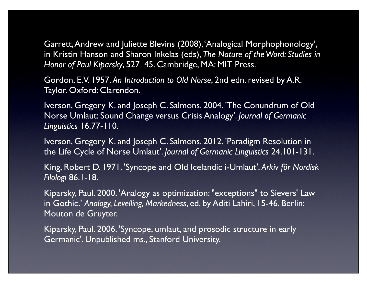Garrett, Andrew and Juliette Blevins (2008), 'Analogical Morphophonology', in Kristin Hanson and Sharon Inkelas (eds), *The Nature of the Word: Studies in Honor of Paul Kiparsky*, 527–45. Cambridge, MA: MIT Press.

Gordon, E.V. 1957. *An Introduction to Old Norse*, 2nd edn. revised by A.R. Taylor. Oxford: Clarendon.

Iverson, Gregory K. and Joseph C. Salmons. 2004. 'The Conundrum of Old Norse Umlaut: Sound Change versus Crisis Analogy'. *Journal of Germanic Linguistics* 16.77-110.

Iverson, Gregory K. and Joseph C. Salmons. 2012. 'Paradigm Resolution in the Life Cycle of Norse Umlaut'. *Journal of Germanic Linguistics* 24.101-131.

King, Robert D. 1971. 'Syncope and Old Icelandic i-Umlaut'. *Arkiv för Nordisk Filologi* 86.1-18.

Kiparsky, Paul. 2000. 'Analogy as optimization: "exceptions" to Sievers' Law in Gothic.' *Analogy, Levelling, Markedness*, ed. by Aditi Lahiri, 15-46. Berlin: Mouton de Gruyter.

Kiparsky, Paul. 2006. 'Syncope, umlaut, and prosodic structure in early Germanic'. Unpublished ms., Stanford University.